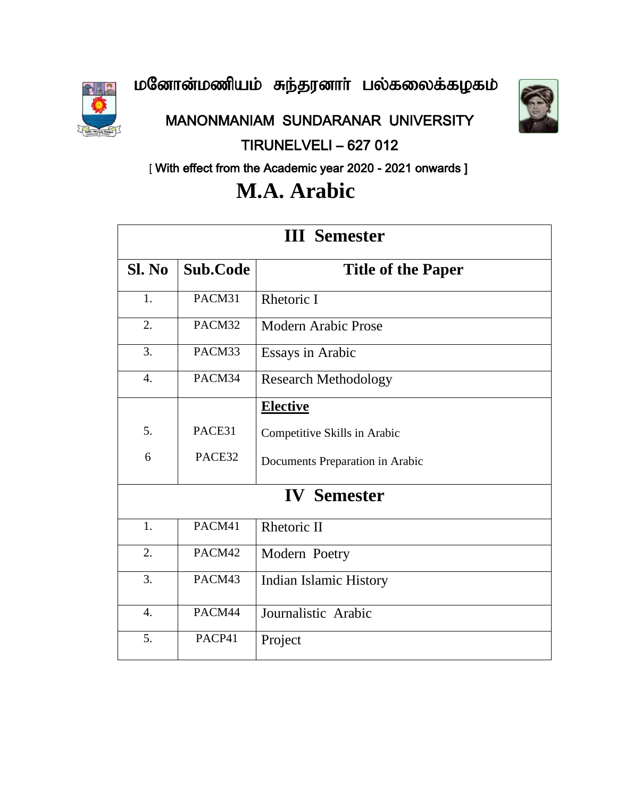மனோன்மணியம் சுந்தரனாா் பல்கலைக்கழகம்



MANONMANIAM SUNDARANAR UNIVERSITY

### TIRUNELVELI – 627 012



[ With effect from the Academic year 2020 - 2021 onwards ]

# **M.A. Arabic**

| <b>III</b> Semester |                 |                                 |  |
|---------------------|-----------------|---------------------------------|--|
| Sl. No              | <b>Sub.Code</b> | <b>Title of the Paper</b>       |  |
| 1.                  | PACM31          | Rhetoric I                      |  |
| 2.                  | PACM32          | <b>Modern Arabic Prose</b>      |  |
| 3.                  | PACM33          | <b>Essays in Arabic</b>         |  |
| $\overline{4}$ .    | PACM34          | <b>Research Methodology</b>     |  |
|                     |                 | <b>Elective</b>                 |  |
| 5.                  | PACE31          | Competitive Skills in Arabic    |  |
| 6                   | PACE32          | Documents Preparation in Arabic |  |
| <b>IV</b> Semester  |                 |                                 |  |
| 1.                  | PACM41          | Rhetoric II                     |  |
| 2.                  | PACM42          | Modern Poetry                   |  |
| 3.                  | PACM43          | <b>Indian Islamic History</b>   |  |
| $\overline{4}$ .    | PACM44          | Journalistic Arabic             |  |
| 5.                  | PACP41          | Project                         |  |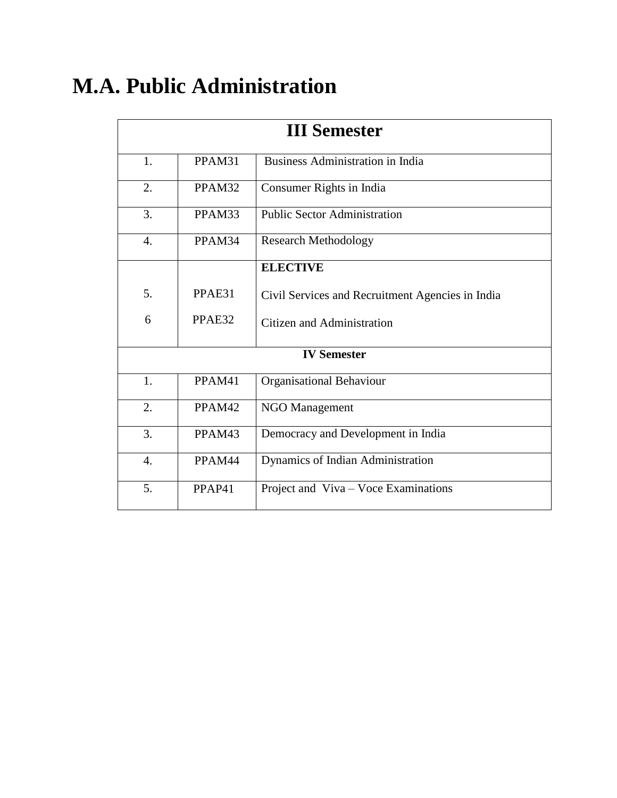# **M.A. Public Administration**

| <b>III Semester</b> |        |                                                  |
|---------------------|--------|--------------------------------------------------|
| 1.                  | PPAM31 | <b>Business Administration in India</b>          |
| 2.                  | PPAM32 | Consumer Rights in India                         |
| 3.                  | PPAM33 | <b>Public Sector Administration</b>              |
| 4.                  | PPAM34 | <b>Research Methodology</b>                      |
|                     |        | <b>ELECTIVE</b>                                  |
| 5.                  | PPAE31 | Civil Services and Recruitment Agencies in India |
| 6                   | PPAE32 | Citizen and Administration                       |
| <b>IV Semester</b>  |        |                                                  |
| 1.                  | PPAM41 | <b>Organisational Behaviour</b>                  |
| 2.                  | PPAM42 | <b>NGO Management</b>                            |
| 3.                  | PPAM43 | Democracy and Development in India               |
| $\overline{4}$ .    | PPAM44 | Dynamics of Indian Administration                |
| 5.                  | PPAP41 | Project and Viva - Voce Examinations             |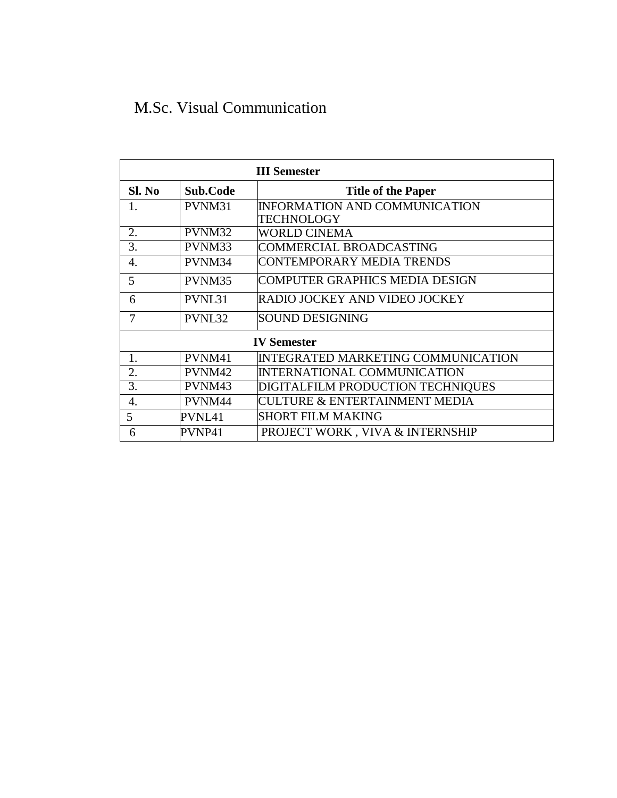### M.Sc. Visual Communication

| <b>III</b> Semester |                    |                                           |  |
|---------------------|--------------------|-------------------------------------------|--|
| Sl. No              | Sub.Code           | <b>Title of the Paper</b>                 |  |
| 1.                  | PVNM31             | INFORMATION AND COMMUNICATION             |  |
|                     |                    | TECHNOLOGY                                |  |
| 2.                  | PVNM32             | <b>WORLD CINEMA</b>                       |  |
| 3.                  | PVNM33             | COMMERCIAL BROADCASTING                   |  |
| 4.                  | PVNM34             | CONTEMPORARY MEDIA TRENDS                 |  |
| 5                   | PVNM35             | COMPUTER GRAPHICS MEDIA DESIGN            |  |
| 6                   | PVNL31             | RADIO JOCKEY AND VIDEO JOCKEY             |  |
| 7                   | PVNL32             | SOUND DESIGNING                           |  |
|                     | <b>IV Semester</b> |                                           |  |
| 1.                  | PVNM41             | <b>INTEGRATED MARKETING COMMUNICATION</b> |  |
| 2.                  | PVNM42             | INTERNATIONAL COMMUNICATION               |  |
| 3.                  | PVNM43             | DIGITALFILM PRODUCTION TECHNIQUES         |  |
| 4.                  | PVNM44             | <b>CULTURE &amp; ENTERTAINMENT MEDIA</b>  |  |
| 5                   | PVNL41             | <b>SHORT FILM MAKING</b>                  |  |
| 6                   | PVNP41             | PROJECT WORK, VIVA & INTERNSHIP           |  |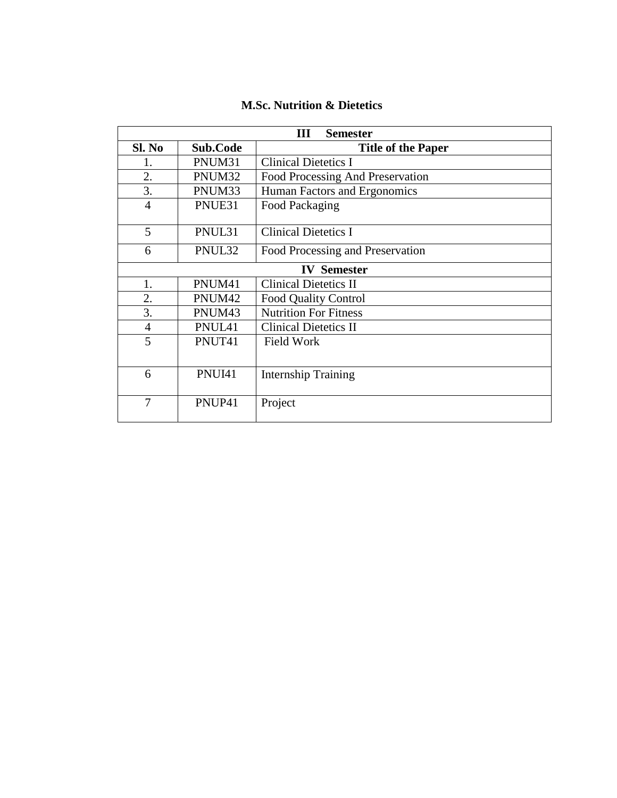| Ш<br><b>Semester</b> |          |                                  |  |
|----------------------|----------|----------------------------------|--|
| Sl. No               | Sub.Code | <b>Title of the Paper</b>        |  |
| 1.                   | PNUM31   | <b>Clinical Dietetics I</b>      |  |
| 2.                   | PNUM32   | Food Processing And Preservation |  |
| 3.                   | PNUM33   | Human Factors and Ergonomics     |  |
| $\overline{4}$       | PNUE31   | Food Packaging                   |  |
| 5                    | PNUL31   | <b>Clinical Dietetics I</b>      |  |
| 6                    | PNUL32   | Food Processing and Preservation |  |
|                      |          | <b>IV</b> Semester               |  |
| 1.                   | PNUM41   | <b>Clinical Dietetics II</b>     |  |
| 2.                   | PNUM42   | <b>Food Quality Control</b>      |  |
| 3.                   | PNUM43   | <b>Nutrition For Fitness</b>     |  |
| $\overline{4}$       | PNUL41   | <b>Clinical Dietetics II</b>     |  |
| 5                    | PNUT41   | <b>Field Work</b>                |  |
| 6                    | PNUI41   | <b>Internship Training</b>       |  |
| 7                    | PNUP41   | Project                          |  |

#### **M.Sc. Nutrition & Dietetics**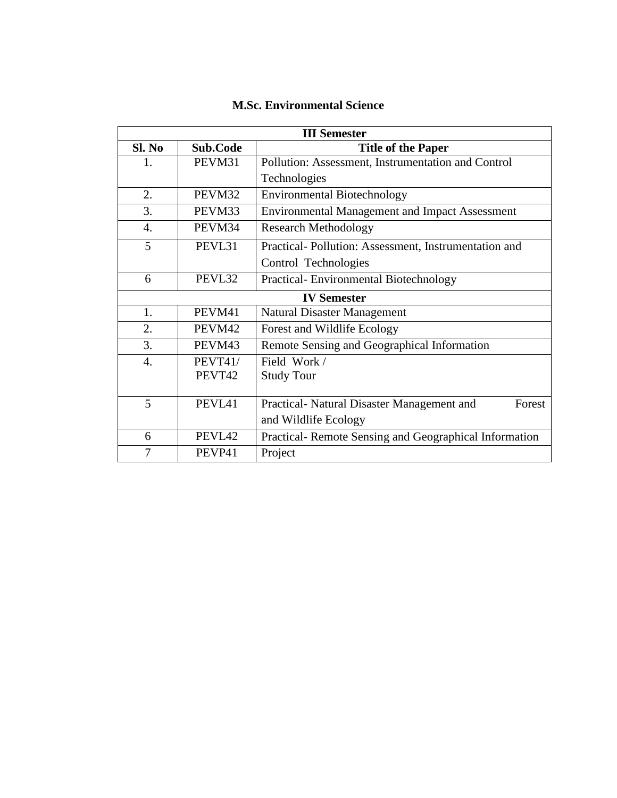| <b>III Semester</b> |                |                                                       |
|---------------------|----------------|-------------------------------------------------------|
| Sl. No              | Sub.Code       | <b>Title of the Paper</b>                             |
| 1.                  | PEVM31         | Pollution: Assessment, Instrumentation and Control    |
|                     |                | Technologies                                          |
| 2.                  | PEVM32         | <b>Environmental Biotechnology</b>                    |
| 3.                  | PEVM33         | <b>Environmental Management and Impact Assessment</b> |
| 4.                  | PEVM34         | <b>Research Methodology</b>                           |
| 5                   | PEVL31         | Practical-Pollution: Assessment, Instrumentation and  |
|                     |                | Control Technologies                                  |
| 6                   | PEVL32         | Practical-Environmental Biotechnology                 |
|                     |                | <b>IV Semester</b>                                    |
| 1.                  | PEVM41         | <b>Natural Disaster Management</b>                    |
| 2.                  | PEVM42         | Forest and Wildlife Ecology                           |
| 3.                  | PEVM43         | Remote Sensing and Geographical Information           |
| 4.                  | <b>PEVT41/</b> | Field Work /                                          |
|                     | PEVT42         | <b>Study Tour</b>                                     |
|                     |                |                                                       |
| 5                   | PEVL41         | Practical- Natural Disaster Management and<br>Forest  |
|                     |                | and Wildlife Ecology                                  |
| 6                   | PEVL42         | Practical-Remote Sensing and Geographical Information |
| 7                   | PEVP41         | Project                                               |

#### **M.Sc. Environmental Science**